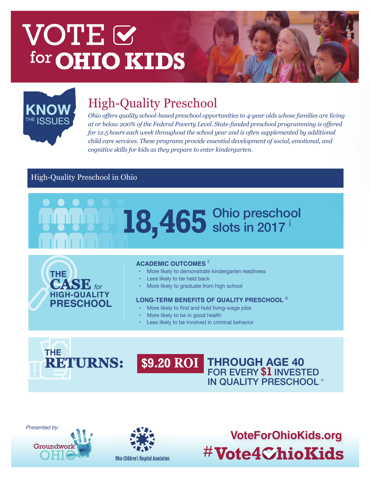# VOTE & for **OHIO KIDS**



# High-Quality Preschool **KNOW**

*Ohio offers quality school-based preschool opportunities to 4-year olds whose families are living at or below 200% of the Federal Poverty Level. State-funded preschool programming is offered for 12.5 hours each week throughout the school year and is often supplemented by additional child care services. These programs provide essential development of social, emotional, and cognitive skills for kids as they prepare to enter kindergarten.* 

### High-Quality Preschool in Ohio





#### **ACADEMIC OUTCOMES** ii

- More likely to demonstrate kindergarten readiness
- Less likely to be held back
- More likely to graduate from high school

#### **LONG-TERM BENEFITS OF QUALITY PRESCHOOL** iii

- More likely to find and hold living-wage jobs
- More likely to be in good health
- • Less likely to be involved in criminal behavior



#### **THROUGH AGE 40** FOR EVERY **\$1** INVESTED IN QUALITY PRESCHOOL iv **\$9.20 ROI**



**Groundwor** 



**VoteForOhioKids.org** #Vote4ChioKids